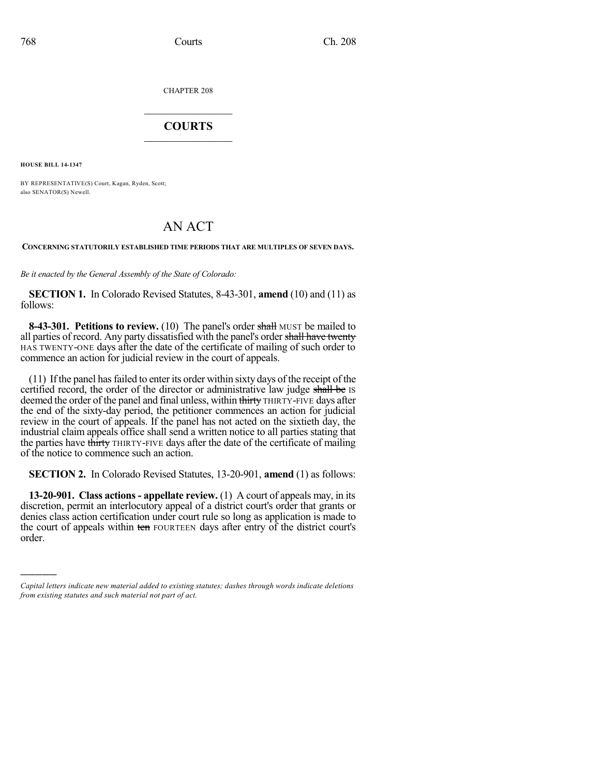CHAPTER 208

## $\mathcal{L}_\text{max}$  . The set of the set of the set of the set of the set of the set of the set of the set of the set of the set of the set of the set of the set of the set of the set of the set of the set of the set of the set **COURTS**  $\_$

**HOUSE BILL 14-1347**

)))))

BY REPRESENTATIVE(S) Court, Kagan, Ryden, Scott; also SENATOR(S) Newell.

## AN ACT

## **CONCERNING STATUTORILY ESTABLISHED TIME PERIODS THAT ARE MULTIPLES OF SEVEN DAYS.**

*Be it enacted by the General Assembly of the State of Colorado:*

**SECTION 1.** In Colorado Revised Statutes, 8-43-301, **amend** (10) and (11) as follows:

**8-43-301. Petitions to review.** (10) The panel's order shall MUST be mailed to all parties of record. Any party dissatisfied with the panel's order shall have twenty HAS TWENTY-ONE days after the date of the certificate of mailing of such order to commence an action for judicial review in the court of appeals.

(11) Ifthe panel hasfailed to enter its order within sixty days of the receipt of the certified record, the order of the director or administrative law judge shall be IS deemed the order of the panel and final unless, within thirty THIRTY-FIVE days after the end of the sixty-day period, the petitioner commences an action for judicial review in the court of appeals. If the panel has not acted on the sixtieth day, the industrial claim appeals office shall send a written notice to all parties stating that the parties have thirty THIRTY-FIVE days after the date of the certificate of mailing of the notice to commence such an action.

**SECTION 2.** In Colorado Revised Statutes, 13-20-901, **amend** (1) as follows:

**13-20-901. Class actions - appellate review.** (1) A court of appeals may, in its discretion, permit an interlocutory appeal of a district court's order that grants or denies class action certification under court rule so long as application is made to the court of appeals within ten FOURTEEN days after entry of the district court's order.

*Capital letters indicate new material added to existing statutes; dashes through words indicate deletions from existing statutes and such material not part of act.*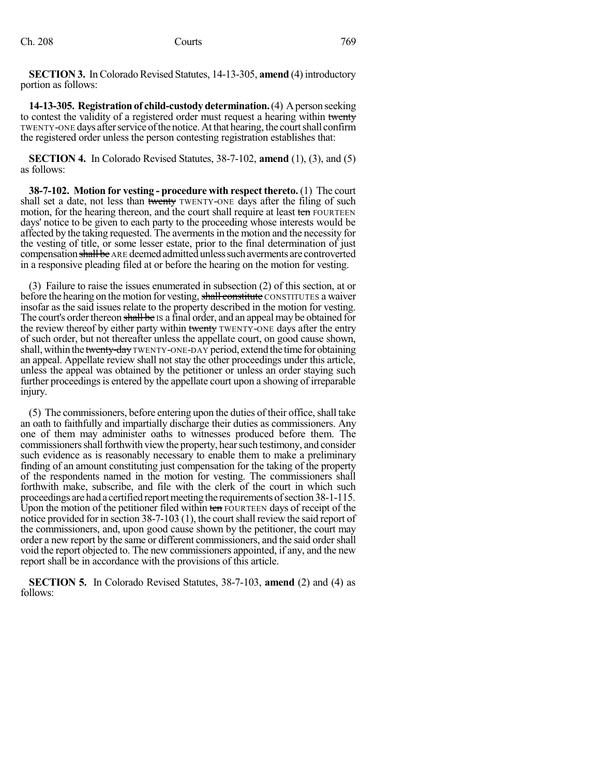**SECTION 3.** In Colorado Revised Statutes, 14-13-305, **amend** (4) introductory portion as follows:

**14-13-305. Registration of child-custody determination.** (4) A person seeking to contest the validity of a registered order must request a hearing within twenty TWENTY-ONE days after service of the notice. At that hearing, the court shall confirm the registered order unless the person contesting registration establishes that:

**SECTION 4.** In Colorado Revised Statutes, 38-7-102, **amend** (1), (3), and (5) as follows:

**38-7-102. Motion for vesting - procedure with respect thereto.** (1) The court shall set a date, not less than twenty TWENTY-ONE days after the filing of such motion, for the hearing thereon, and the court shall require at least ten FOURTEEN days' notice to be given to each party to the proceeding whose interests would be affected by the taking requested. The avermentsin the motion and the necessity for the vesting of title, or some lesser estate, prior to the final determination of just compensation shall be ARE deemed admitted unless such averments are controverted in a responsive pleading filed at or before the hearing on the motion for vesting.

(3) Failure to raise the issues enumerated in subsection (2) of this section, at or before the hearing on the motion for vesting, shall constitute CONSTITUTES a waiver insofar as the said issues relate to the property described in the motion for vesting. The court's order thereon shall be IS a final order, and an appeal may be obtained for the review thereof by either party within twenty TWENTY-ONE days after the entry of such order, but not thereafter unless the appellate court, on good cause shown, shall, within the twenty-day TWENTY-ONE-DAY period, extend the time for obtaining an appeal. Appellate review shall not stay the other proceedings under this article, unless the appeal was obtained by the petitioner or unless an order staying such further proceedings is entered by the appellate court upon a showing of irreparable injury.

 $(5)$  The commissioners, before entering upon the duties of their office, shall take an oath to faithfully and impartially discharge their duties as commissioners. Any one of them may administer oaths to witnesses produced before them. The commissionersshallforthwith viewthe property, hearsuch testimony, and consider such evidence as is reasonably necessary to enable them to make a preliminary finding of an amount constituting just compensation for the taking of the property of the respondents named in the motion for vesting. The commissioners shall forthwith make, subscribe, and file with the clerk of the court in which such proceedings are had a certified report meeting the requirements of section 38-1-115. Upon the motion of the petitioner filed within ten FOURTEEN days of receipt of the notice provided for in section 38-7-103 (1), the court shall review the said report of the commissioners, and, upon good cause shown by the petitioner, the court may order a new report by the same or different commissioners, and the said ordershall void the report objected to. The new commissioners appointed, if any, and the new report shall be in accordance with the provisions of this article.

**SECTION 5.** In Colorado Revised Statutes, 38-7-103, **amend** (2) and (4) as follows: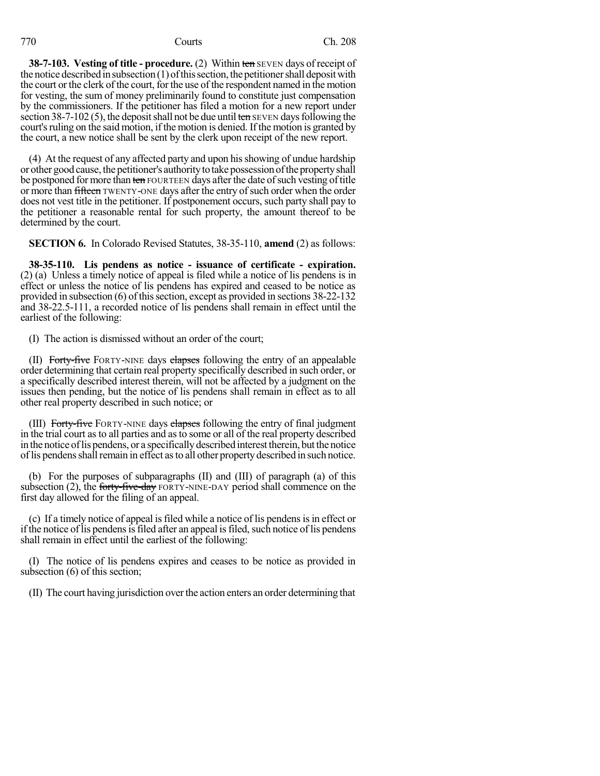**38-7-103. Vesting of title - procedure.** (2) Within ten SEVEN days of receipt of the notice described in subsection  $(1)$  of this section, the petitioner shall deposit with the court or the clerk of the court, for the use of the respondent named in the motion for vesting, the sum of money preliminarily found to constitute just compensation by the commissioners. If the petitioner has filed a motion for a new report under section 38-7-102 (5), the deposit shall not be due until ten SEVEN days following the court's ruling on the said motion, if the motion is denied. If the motion is granted by the court, a new notice shall be sent by the clerk upon receipt of the new report.

(4) At the request of any affected party and upon hisshowing of undue hardship or other good cause, the petitioner's authoritytotakepossessionofthepropertyshall be postponed for more than ten FOURTEEN days after the date of such vesting of title or more than fifteen TWENTY-ONE days after the entry of such order when the order does not vest title in the petitioner. If postponement occurs, such party shall pay to the petitioner a reasonable rental for such property, the amount thereof to be determined by the court.

**SECTION 6.** In Colorado Revised Statutes, 38-35-110, **amend** (2) as follows:

**38-35-110. Lis pendens as notice - issuance of certificate - expiration.** (2) (a) Unless a timely notice of appeal is filed while a notice of lis pendens is in effect or unless the notice of lis pendens has expired and ceased to be notice as provided in subsection (6) of this section, except as provided in sections 38-22-132 and 38-22.5-111, a recorded notice of lis pendens shall remain in effect until the earliest of the following:

(I) The action is dismissed without an order of the court;

(II) Forty-five FORTY-NINE days elapses following the entry of an appealable order determining that certain real property specifically described in such order, or a specifically described interest therein, will not be affected by a judgment on the issues then pending, but the notice of lis pendens shall remain in effect as to all other real property described in such notice; or

(III) Forty-five FORTY-NINE days elapses following the entry of final judgment in the trial court as to all parties and asto some or all of the real property described in the notice of lis pendens, or a specifically described interest therein, but the notice of lis pendens shall remain in effect as to all other property described in such notice.

(b) For the purposes of subparagraphs (II) and (III) of paragraph (a) of this subsection  $(2)$ , the forty-five-day FORTY-NINE-DAY period shall commence on the first day allowed for the filing of an appeal.

(c) If a timely notice of appeal isfiled while a notice of lis pendensisin effect or if the notice of lis pendens is filed after an appeal is filed, such notice of lis pendens shall remain in effect until the earliest of the following:

(I) The notice of lis pendens expires and ceases to be notice as provided in subsection (6) of this section;

(II) The court having jurisdiction overthe action enters an order determining that